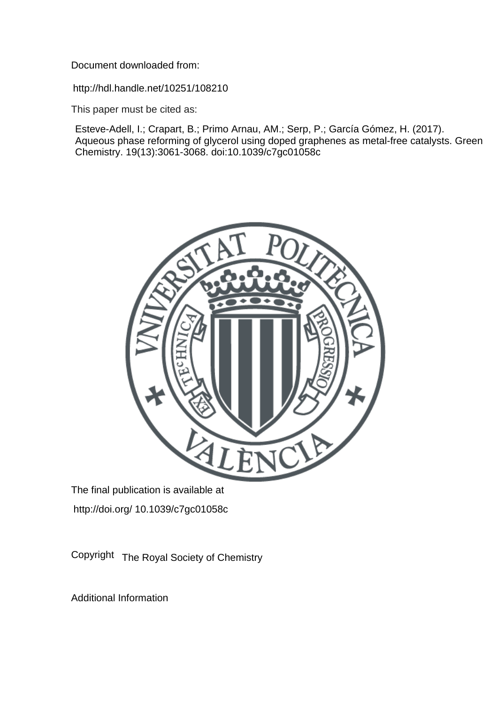Document downloaded from:

http://hdl.handle.net/10251/108210

This paper must be cited as:

Esteve-Adell, I.; Crapart, B.; Primo Arnau, AM.; Serp, P.; García Gómez, H. (2017). Aqueous phase reforming of glycerol using doped graphenes as metal-free catalysts. Green Chemistry. 19(13):3061-3068. doi:10.1039/c7gc01058c



The final publication is available at http://doi.org/ 10.1039/c7gc01058c

Copyright The Royal Society of Chemistry

Additional Information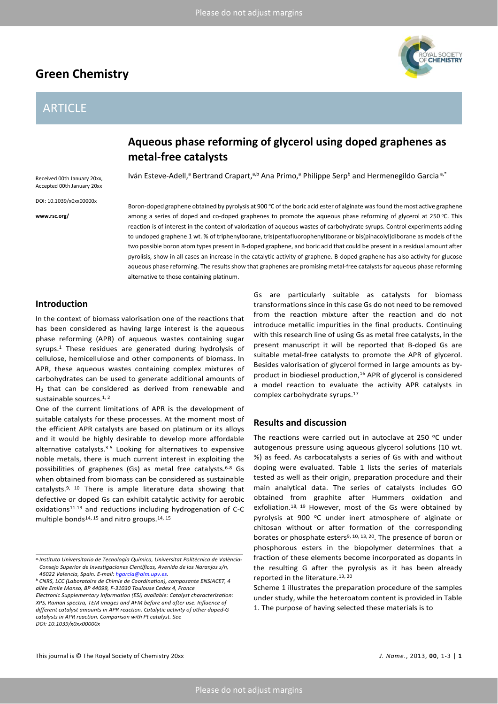# **Green Chemistry**

# ARTICLE

Received 00th January 20xx, Accepted 00th January 20xx DOI: 10.1039/x0xx00000x

**www.rsc.org/**



# **Aqueous phase reforming of glycerol using doped graphenes as metal-free catalysts**

Iván Esteve-Adell,<sup>a</sup> Bertrand Crapart,<sup>a,b</sup> Ana Primo,<sup>a</sup> Philippe Serp<sup>b</sup> and Hermenegildo Garcia<sup>a,\*</sup>

Boron-doped graphene obtained by pyrolysis at 900 °C of the boric acid ester of alginate was found the most active graphene among a series of doped and co-doped graphenes to promote the aqueous phase reforming of glycerol at 250 °C. This reaction is of interest in the context of valorization of aqueous wastes of carbohydrate syrups. Control experiments adding to undoped graphene 1 wt. % of triphenylborane, tris(pentafluorophenyl)borane or bis(pinacolyl)diborane as models of the two possible boron atom types present in B-doped graphene, and boric acid that could be present in a residual amount after pyrolisis, show in all cases an increase in the catalytic activity of graphene. B-doped graphene has also activity for glucose aqueous phase reforming. The results show that graphenes are promising metal-free catalysts for aqueous phase reforming alternative to those containing platinum.

# **Introduction**

In the context of biomass valorisation one of the reactions that has been considered as having large interest is the aqueous phase reforming (APR) of aqueous wastes containing sugar syrups.<sup>1</sup> These residues are generated during hydrolysis of cellulose, hemicellulose and other components of biomass. In APR, these aqueous wastes containing complex mixtures of carbohydrates can be used to generate additional amounts of H<sub>2</sub> that can be considered as derived from renewable and sustainable sources.<sup>1, [2](#page-7-1)</sup>

One of the current limitations of APR is the development of suitable catalysts for these processes. At the moment most of the efficient APR catalysts are based on platinum or its alloys and it would be highly desirable to develop more affordable alternative catalysts[.3-5](#page-7-2) Looking for alternatives to expensive noble metals, there is much current interest in exploiting the possibilities of graphenes (Gs) as metal free catalysts.<sup>6-8</sup> Gs when obtained from biomass can be considered as sustainable catalysts[.9,](#page-7-4) [10](#page-7-5) There is ample literature data showing that defective or doped Gs can exhibit catalytic activity for aerobic oxidation[s11-13](#page-7-6) and reductions including hydrogenation of C-C multiple bonds<sup>14, [15](#page-7-8)</sup> and nitro groups.<sup>14, 15</sup>

Gs are particularly suitable as catalysts for biomass transformations since in this case Gs do not need to be removed from the reaction mixture after the reaction and do not introduce metallic impurities in the final products. Continuing with this research line of using Gs as metal free catalysts, in the present manuscript it will be reported that B-doped Gs are suitable metal-free catalysts to promote the APR of glycerol. Besides valorisation of glycerol formed in large amounts as byproduct in biodiesel production,<sup>16</sup> APR of glycerol is considered a model reaction to evaluate the activity APR catalysts in complex carbohydrate syrups[.17](#page-7-10)

## **Results and discussion**

The reactions were carried out in autoclave at 250  $\degree$ C under autogenous pressure using aqueous glycerol solutions (10 wt. %) as feed. As carbocatalysts a series of Gs with and without doping were evaluated. Table 1 lists the series of materials tested as well as their origin, preparation procedure and their main analytical data. The series of catalysts includes GO obtained from graphite after Hummers oxidation and exfoliation.<sup>18, [19](#page-7-12)</sup> However, most of the Gs were obtained by pyrolysis at 900 °C under inert atmosphere of alginate or chitosan without or after formation of the corresponding borates or phosphate esters<sup>9, [10,](#page-7-5) [13,](#page-7-13) 20</sup>. The presence of boron or phosphorous esters in the biopolymer determines that a fraction of these elements become incorporated as dopants in the resulting G after the pyrolysis as it has been already reported in the literature[.13,](#page-7-13) [20](#page-7-14)

Scheme 1 illustrates the preparation procedure of the samples under study, while the heteroatom content is provided in Table 1. The purpose of having selected these materials is to

*a.Instituto Universitario de Tecnología Química, Universitat Politècnica de València-Consejo Superior de Investigaciones Científicas, Avenida de los Naranjos s/n, 46022 Valencia, Spain. E-mail[: hgarcia@qim.upv.es.](mailto:hgarcia@qim.upv.es)*

*<sup>b</sup> CNRS, LCC (Laboratoire de Chimie de Coordination), composante ENSIACET, 4 allée Emile Monso, BP 44099, F-31030 Toulouse Cedex 4, France Electronic Supplementary Information (ESI) available: Catalyst characterization: XPS, Raman spectra, TEM images and AFM before and after use. Influence of different catalyst amounts in APR reaction. Catalytic activity of other doped-G catalysts in APR reaction. Comparison with Pt catalyst. See DOI: 10.1039/x0xx00000x*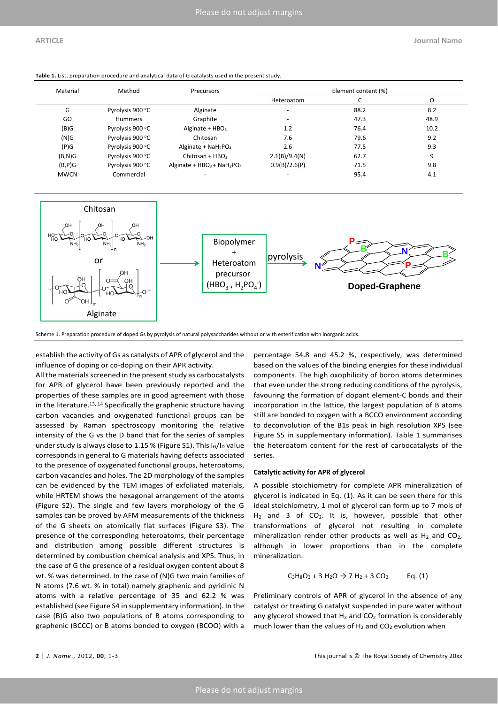| Material    | Method           | Precursors                  | Element content (%)      |      |      |
|-------------|------------------|-----------------------------|--------------------------|------|------|
|             |                  |                             | Heteroatom               |      | Ő    |
| G           | Pyrolysis 900 °C | Alginate                    | $\overline{\phantom{a}}$ | 88.2 | 8.2  |
| GO          | <b>Hummers</b>   | Graphite                    |                          | 47.3 | 48.9 |
| (B)G        | Pyrolysis 900 °C | Alginate + $HBO3$           | 1.2                      | 76.4 | 10.2 |
| (N)G        | Pyrolysis 900 °C | Chitosan                    | 7.6                      | 79.6 | 9.2  |
| (P)G        | Pyrolysis 900 °C | Alginate + $Nah_2PO_4$      | 2.6                      | 77.5 | 9.3  |
| $(B,N)$ G   | Pyrolysis 900 °C | Chitosan + $HBO3$           | 2.1(B)/9.4(N)            | 62.7 | 9    |
| $(B, P)$ G  | Pyrolysis 900 °C | Alginate + $HBO3 + NaH2PO4$ | 0.9(B)/2.6(P)            | 71.5 | 9.8  |
| <b>MWCN</b> | Commercial       | $\overline{\phantom{a}}$    |                          | 95.4 | 4.1  |

**Table 1.** List, preparation procedure and analytical data of G catalysts used in the present study.



Scheme 1. Preparation procedure of doped Gs by pyrolysis of natural polysaccharides without or with esterification with inorganic acids.

establish the activity of Gs as catalysts of APR of glycerol and the influence of doping or co-doping on their APR activity.

All the materials screened in the present study as carbocatalysts for APR of glycerol have been previously reported and the properties of these samples are in good agreement with those in the literature.<sup>13, [14](#page-7-7)</sup> Specifically the graphenic structure having carbon vacancies and oxygenated functional groups can be assessed by Raman spectroscopy monitoring the relative intensity of the G vs the D band that for the series of samples under study is always close to 1.15 % (Figure S1). This  $I_G/I_D$  value corresponds in general to G materials having defects associated to the presence of oxygenated functional groups, heteroatoms, carbon vacancies and holes. The 2D morphology of the samples can be evidenced by the TEM images of exfoliated materials, while HRTEM shows the hexagonal arrangement of the atoms (Figure S2). The single and few layers morphology of the G samples can be proved by AFM measurements of the thickness of the G sheets on atomically flat surfaces (Figure S3). The presence of the corresponding heteroatoms, their percentage and distribution among possible different structures is determined by combustion chemical analysis and XPS. Thus, in the case of G the presence of a residual oxygen content about 8 wt. % was determined. In the case of (N)G two main families of N atoms (7.6 wt. % in total) namely graphenic and pyridinic N atoms with a relative percentage of 35 and 62.2 % was established (see Figure S4 in supplementary information). In the case (B)G also two populations of B atoms corresponding to graphenic (BCCC) or B atoms bonded to oxygen (BCOO) with a

percentage 54.8 and 45.2 %, respectively, was determined based on the values of the binding energies for these individual components. The high oxophilicity of boron atoms determines that even under the strong reducing conditions of the pyrolysis, favouring the formation of dopant element-C bonds and their incorporation in the lattice, the largest population of B atoms still are bonded to oxygen with a BCCO environment according to deconvolution of the B1s peak in high resolution XPS (see Figure S5 in supplementary information). Table 1 summarises the heteroatom content for the rest of carbocatalysts of the series.

#### **Catalytic activity for APR of glycerol**

A possible stoichiometry for complete APR mineralization of glycerol is indicated in Eq. (1). As it can be seen there for this ideal stoichiometry, 1 mol of glycerol can form up to 7 mols of  $H_2$  and 3 of CO<sub>2</sub>. It is, however, possible that other transformations of glycerol not resulting in complete mineralization render other products as well as  $H_2$  and  $CO_2$ , although in lower proportions than in the complete mineralization.

$$
C_3H_8O_3 + 3 H_2O \to 7 H_2 + 3 CO_2 \qquad Eq. (1)
$$

Preliminary controls of APR of glycerol in the absence of any catalyst or treating G catalyst suspended in pure water without any glycerol showed that  $H_2$  and  $CO_2$  formation is considerably much lower than the values of  $H_2$  and  $CO_2$  evolution when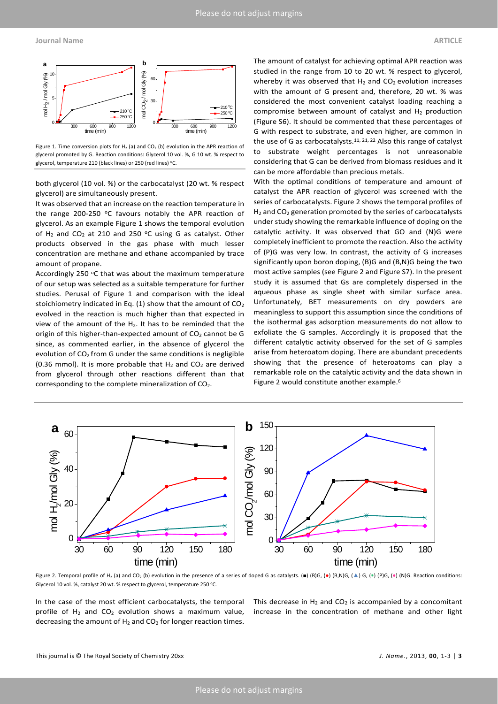Figure 1. Time conversion plots for  $H_2$  (a) and  $CO_2$  (b) evolution in the APR reaction of glycerol promoted by G. Reaction conditions: Glycerol 10 vol. %, G 10 wt. % respect to glycerol, temperature 210 (black lines) or 250 (red lines) °C.

both glycerol (10 vol. %) or the carbocatalyst (20 wt. % respect glycerol) are simultaneously present.

It was observed that an increase on the reaction temperature in the range 200-250  $\degree$ C favours notably the APR reaction of glycerol. As an example Figure 1 shows the temporal evolution of H<sub>2</sub> and CO<sub>2</sub> at 210 and 250  $\degree$ C using G as catalyst. Other products observed in the gas phase with much lesser concentration are methane and ethane accompanied by trace amount of propane.

Accordingly 250 °C that was about the maximum temperature of our setup was selected as a suitable temperature for further studies. Perusal of Figure 1 and comparison with the ideal stoichiometry indicated in Eq. (1) show that the amount of  $CO<sub>2</sub>$ evolved in the reaction is much higher than that expected in view of the amount of the  $H_2$ . It has to be reminded that the origin of this higher-than-expected amount of  $CO<sub>2</sub>$  cannot be G since, as commented earlier, in the absence of glycerol the evolution of  $CO<sub>2</sub>$  from G under the same conditions is negligible (0.36 mmol). It is more probable that  $H_2$  and  $CO_2$  are derived from glycerol through other reactions different than that corresponding to the complete mineralization of CO<sub>2</sub>.

The amount of catalyst for achieving optimal APR reaction was studied in the range from 10 to 20 wt. % respect to glycerol, whereby it was observed that  $H_2$  and  $CO_2$  evolution increases with the amount of G present and, therefore, 20 wt. % was considered the most convenient catalyst loading reaching a compromise between amount of catalyst and  $H_2$  production (Figure S6). It should be commented that these percentages of G with respect to substrate, and even higher, are common in the use of G as carbocatalysts.<sup>[11,](#page-7-6) [21,](#page-7-15) [22](#page-7-16)</sup> Also this range of catalyst to substrate weight percentages is not unreasonable considering that G can be derived from biomass residues and it can be more affordable than precious metals.

With the optimal conditions of temperature and amount of catalyst the APR reaction of glycerol was screened with the series of carbocatalysts. Figure 2 shows the temporal profiles of H<sub>2</sub> and CO<sub>2</sub> generation promoted by the series of carbocatalysts under study showing the remarkable influence of doping on the catalytic activity. It was observed that GO and (N)G were completely inefficient to promote the reaction. Also the activity of (P)G was very low. In contrast, the activity of G increases significantly upon boron doping, (B)G and (B,N)G being the two most active samples (see Figure 2 and Figure S7). In the present study it is assumed that Gs are completely dispersed in the aqueous phase as single sheet with similar surface area. Unfortunately, BET measurements on dry powders are meaningless to support this assumption since the conditions of the isothermal gas adsorption measurements do not allow to exfoliate the G samples. Accordingly it is proposed that the different catalytic activity observed for the set of G samples arise from heteroatom doping. There are abundant precedents showing that the presence of heteroatoms can play a remarkable role on the catalytic activity and the data shown in Figure 2 would constitute another example[.6](#page-7-3)



Figure 2. Temporal profile of H<sub>2</sub> (a) and CO<sub>2</sub> (b) evolution in the presence of a series of doped G as catalysts. (■) (B)G, (●) (B,N)G, (▲) G, (●) (P)G, (◆) (P)G, Reaction conditions: Glycerol 10 vol. %, catalyst 20 wt. % respect to glycerol, temperature 250 °C.

In the case of the most efficient carbocatalysts, the temporal profile of  $H_2$  and CO<sub>2</sub> evolution shows a maximum value, decreasing the amount of  $H_2$  and  $CO_2$  for longer reaction times.

This decrease in  $H_2$  and CO<sub>2</sub> is accompanied by a concomitant increase in the concentration of methane and other light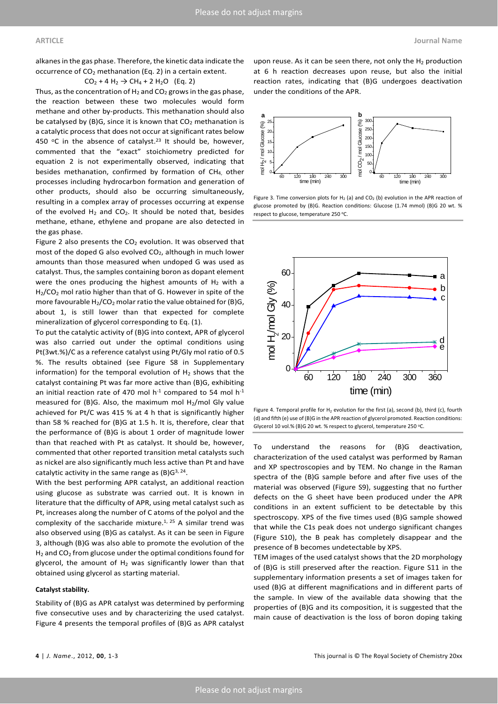alkanes in the gas phase. Therefore, the kinetic data indicate the occurrence of CO2 methanation (Eq. 2) in a certain extent.

 $CO_2 + 4 H_2 \rightarrow CH_4 + 2 H_2O$  (Eq. 2)

Thus, as the concentration of  $H_2$  and  $CO_2$  grows in the gas phase, the reaction between these two molecules would form methane and other by-products. This methanation should also be catalysed by (B)G, since it is known that  $CO<sub>2</sub>$  methanation is a catalytic process that does not occur at significant rates below 450  $\degree$ C in the absence of catalyst.<sup>23</sup> It should be, however, commented that the "exact" stoichiometry predicted for equation 2 is not experimentally observed, indicating that besides methanation, confirmed by formation of CH4, other processes including hydrocarbon formation and generation of other products, should also be occurring simultaneously, resulting in a complex array of processes occurring at expense of the evolved  $H_2$  and CO<sub>2</sub>. It should be noted that, besides methane, ethane, ethylene and propane are also detected in the gas phase.

Figure 2 also presents the  $CO<sub>2</sub>$  evolution. It was observed that most of the doped G also evolved CO<sub>2</sub>, although in much lower amounts than those measured when undoped G was used as catalyst. Thus, the samples containing boron as dopant element were the ones producing the highest amounts of  $H_2$  with a H<sub>2</sub>/CO<sub>2</sub> mol ratio higher than that of G. However in spite of the more favourable  $H_2/CO_2$  molar ratio the value obtained for (B)G, about 1, is still lower than that expected for complete mineralization of glycerol corresponding to Eq. (1).

To put the catalytic activity of (B)G into context, APR of glycerol was also carried out under the optimal conditions using Pt(3wt.%)/C as a reference catalyst using Pt/Gly mol ratio of 0.5 %. The results obtained (see Figure S8 in Supplementary information) for the temporal evolution of  $H_2$  shows that the catalyst containing Pt was far more active than (B)G, exhibiting an initial reaction rate of 470 mol  $h^{-1}$  compared to 54 mol  $h^{-1}$ measured for  $(B)$ G. Also, the maximum mol H<sub>2</sub>/mol Gly value achieved for Pt/C was 415 % at 4 h that is significantly higher than 58 % reached for (B)G at 1.5 h. It is, therefore, clear that the performance of (B)G is about 1 order of magnitude lower than that reached with Pt as catalyst. It should be, however, commented that other reported transition metal catalysts such as nickel are also significantly much less active than Pt and have catalytic activity in the same range as  $(B)G^{3, 24}$ .

With the best performing APR catalyst, an additional reaction using glucose as substrate was carried out. It is known in literature that the difficulty of APR, using metal catalyst such as Pt, increases along the number of C atoms of the polyol and the complexity of the saccharide mixture.<sup>1, [25](#page-7-19)</sup> A similar trend was also observed using (B)G as catalyst. As it can be seen in Figure 3, although (B)G was also able to promote the evolution of the  $H_2$  and CO<sub>2</sub> from glucose under the optimal conditions found for glycerol, the amount of  $H_2$  was significantly lower than that obtained using glycerol as starting material.

#### **Catalyst stability.**

Stability of (B)G as APR catalyst was determined by performing five consecutive uses and by characterizing the used catalyst. Figure 4 presents the temporal profiles of (B)G as APR catalyst

upon reuse. As it can be seen there, not only the  $H_2$  production at 6 h reaction decreases upon reuse, but also the initial reaction rates, indicating that (B)G undergoes deactivation under the conditions of the APR.



Figure 3. Time conversion plots for H<sub>2</sub> (a) and CO<sub>2</sub> (b) evolution in the APR reaction of glucose promoted by (B)G. Reaction conditions: Glucose (1.74 mmol) (B)G 20 wt. % respect to glucose, temperature 250 °C.



Figure 4. Temporal profile for  $H_2$  evolution for the first (a), second (b), third (c), fourth (d) and fifth (e) use of (B)G in the APR reaction of glycerol promoted. Reaction conditions: Glycerol 10 vol.% (B)G 20 wt. % respect to glycerol, temperature 250 °C.

To understand the reasons for (B)G deactivation, characterization of the used catalyst was performed by Raman and XP spectroscopies and by TEM. No change in the Raman spectra of the (B)G sample before and after five uses of the material was observed (Figure S9), suggesting that no further defects on the G sheet have been produced under the APR conditions in an extent sufficient to be detectable by this spectroscopy. XPS of the five times used (B)G sample showed that while the C1s peak does not undergo significant changes (Figure S10), the B peak has completely disappear and the presence of B becomes undetectable by XPS.

TEM images of the used catalyst shows that the 2D morphology of (B)G is still preserved after the reaction. Figure S11 in the supplementary information presents a set of images taken for used (B)G at different magnifications and in different parts of the sample. In view of the available data showing that the properties of (B)G and its composition, it is suggested that the main cause of deactivation is the loss of boron doping taking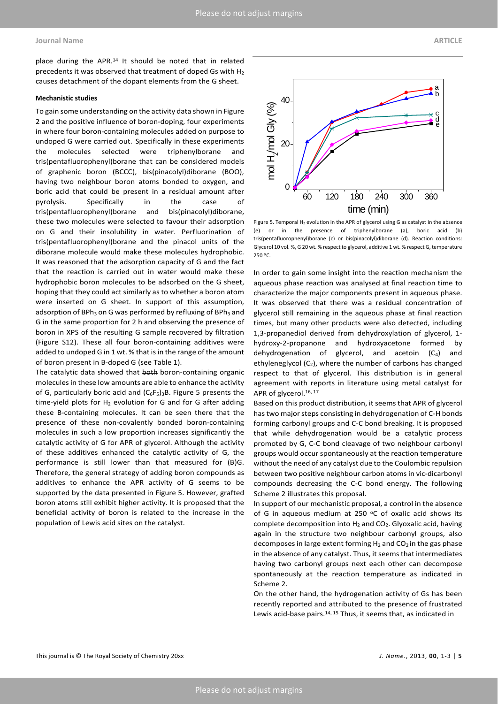#### **Journal Name ARTICLE**

place during the APR.14 It should be noted that in related precedents it was observed that treatment of doped Gs with H2 causes detachment of the dopant elements from the G sheet.

#### **Mechanistic studies**

To gain some understanding on the activity data shown in Figure 2 and the positive influence of boron-doping, four experiments in where four boron-containing molecules added on purpose to undoped G were carried out. Specifically in these experiments the molecules selected were triphenylborane and tris(pentafluorophenyl)borane that can be considered models of graphenic boron (BCCC), bis(pinacolyl)diborane (BOO), having two neighbour boron atoms bonded to oxygen, and boric acid that could be present in a residual amount after pyrolysis. Specifically in the case of tris(pentafluorophenyl)borane and bis(pinacolyl)diborane, these two molecules were selected to favour their adsorption on G and their insolubility in water. Perfluorination of tris(pentafluorophenyl)borane and the pinacol units of the diborane molecule would make these molecules hydrophobic. It was reasoned that the adsorption capacity of G and the fact that the reaction is carried out in water would make these hydrophobic boron molecules to be adsorbed on the G sheet, hoping that they could act similarly as to whether a boron atom were inserted on G sheet. In support of this assumption, adsorption of  $BPh_3$  on G was performed by refluxing of  $BPh_3$  and G in the same proportion for 2 h and observing the presence of boron in XPS of the resulting G sample recovered by filtration (Figure S12). These all four boron-containing additives were added to undoped G in 1 wt. % that is in the range of the amount of boron present in B-doped G (see Table 1).

The catalytic data showed that both boron-containing organic molecules in these low amounts are able to enhance the activity of G, particularly boric acid and  $(C_6F_5)_3B$ . Figure 5 presents the time-yield plots for  $H_2$  evolution for G and for G after adding these B-containing molecules. It can be seen there that the presence of these non-covalently bonded boron-containing molecules in such a low proportion increases significantly the catalytic activity of G for APR of glycerol. Although the activity of these additives enhanced the catalytic activity of G, the performance is still lower than that measured for (B)G. Therefore, the general strategy of adding boron compounds as additives to enhance the APR activity of G seems to be supported by the data presented in Figure 5. However, grafted boron atoms still exhibit higher activity. It is proposed that the beneficial activity of boron is related to the increase in the population of Lewis acid sites on the catalyst.

(e) or in the presence of triphenylborane (a), boric acid (b) tris(pentafluorophenyl)borane (c) or bis(pinacolyl)diborane (d). Reaction conditions: Glycerol 10 vol. %, G 20 wt. % respect to glycerol, additive 1 wt. % respect G, temperature 250 ºC. In order to gain some insight into the reaction mechanism the

Figure 5. Temporal  $H_2$  evolution in the APR of glycerol using G as catalyst in the absence

aqueous phase reaction was analysed at final reaction time to characterize the major components present in aqueous phase. It was observed that there was a residual concentration of glycerol still remaining in the aqueous phase at final reaction times, but many other products were also detected, including 1,3-propanediol derived from dehydroxylation of glycerol, 1 hydroxy-2-propanone and hydroxyacetone formed by dehydrogenation of glycerol, and acetoin (C4) and ethyleneglycol  $(C_2)$ , where the number of carbons has changed respect to that of glycerol. This distribution is in general agreement with reports in literature using metal catalyst for APR of glycerol.<sup>16, [17](#page-7-10)</sup>

Based on this product distribution, it seems that APR of glycerol has two major steps consisting in dehydrogenation of C-H bonds forming carbonyl groups and C-C bond breaking. It is proposed that while dehydrogenation would be a catalytic process promoted by G, C-C bond cleavage of two neighbour carbonyl groups would occur spontaneously at the reaction temperature without the need of any catalyst due to the Coulombic repulsion between two positive neighbour carbon atoms in vic-dicarbonyl compounds decreasing the C-C bond energy. The following Scheme 2 illustrates this proposal.

In support of our mechanistic proposal, a control in the absence of G in aqueous medium at 250  $\degree$ C of oxalic acid shows its complete decomposition into  $H_2$  and  $CO_2$ . Glyoxalic acid, having again in the structure two neighbour carbonyl groups, also decomposes in large extent forming  $H_2$  and CO<sub>2</sub> in the gas phase in the absence of any catalyst. Thus, it seems that intermediates having two carbonyl groups next each other can decompose spontaneously at the reaction temperature as indicated in Scheme 2.

On the other hand, the hydrogenation activity of Gs has been recently reported and attributed to the presence of frustrated Lewis acid-base pairs. $14, 15$  $14, 15$  Thus, it seems that, as indicated in

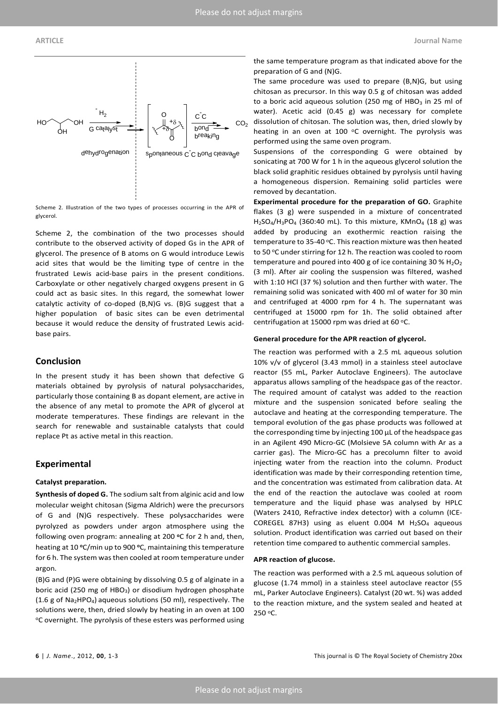

Scheme 2. Illustration of the two types of processes occurring in the APR of glycerol.

Scheme 2, the combination of the two processes should contribute to the observed activity of doped Gs in the APR of glycerol. The presence of B atoms on G would introduce Lewis acid sites that would be the limiting type of centre in the frustrated Lewis acid-base pairs in the present conditions. Carboxylate or other negatively charged oxygens present in G could act as basic sites. In this regard, the somewhat lower catalytic activity of co-doped (B,N)G vs. (B)G suggest that a higher population of basic sites can be even detrimental because it would reduce the density of frustrated Lewis acidbase pairs.

### **Conclusion**

In the present study it has been shown that defective G materials obtained by pyrolysis of natural polysaccharides, particularly those containing B as dopant element, are active in the absence of any metal to promote the APR of glycerol at moderate temperatures. These findings are relevant in the search for renewable and sustainable catalysts that could replace Pt as active metal in this reaction.

#### **Experimental**

#### **Catalyst preparation.**

**Synthesis of doped G.** The sodium salt from alginic acid and low molecular weight chitosan (Sigma Aldrich) were the precursors of G and (N)G respectively. These polysaccharides were pyrolyzed as powders under argon atmosphere using the following oven program: annealing at 200 **o**C for 2 h and, then, heating at 10 **o**C/min up to 900 **o**C, maintaining this temperature for 6 h. The system was then cooled at room temperature under argon.

(B)G and (P)G were obtaining by dissolving 0.5 g of alginate in a boric acid (250 mg of HBO<sub>3</sub>) or disodium hydrogen phosphate (1.6 g of Na<sub>2</sub>HPO<sub>4</sub>) aqueous solutions (50 ml), respectively. The solutions were, then, dried slowly by heating in an oven at 100 oC overnight. The pyrolysis of these esters was performed using

the same temperature program as that indicated above for the preparation of G and (N)G.

The same procedure was used to prepare (B,N)G, but using chitosan as precursor. In this way 0.5 g of chitosan was added to a boric acid aqueous solution (250 mg of  $HBO<sub>3</sub>$  in 25 ml of water). Acetic acid (0.45 g) was necessary for complete dissolution of chitosan. The solution was, then, dried slowly by heating in an oven at 100  $\degree$ C overnight. The pyrolysis was performed using the same oven program.

Suspensions of the corresponding G were obtained by sonicating at 700 W for 1 h in the aqueous glycerol solution the black solid graphitic residues obtained by pyrolysis until having a homogeneous dispersion. Remaining solid particles were removed by decantation.

**Experimental procedure for the preparation of GO.** Graphite flakes (3 g) were suspended in a mixture of concentrated  $H<sub>2</sub>SO<sub>4</sub>/H<sub>3</sub>PO<sub>4</sub>$  (360:40 mL). To this mixture, KMnO<sub>4</sub> (18 g) was added by producing an exothermic reaction raising the temperature to 35-40 °C. This reaction mixture was then heated to 50 °C under stirring for 12 h. The reaction was cooled to room temperature and poured into 400 g of ice containing 30 %  $H_2O_2$ (3 ml). After air cooling the suspension was filtered, washed with 1:10 HCl (37 %) solution and then further with water. The remaining solid was sonicated with 400 ml of water for 30 min and centrifuged at 4000 rpm for 4 h. The supernatant was centrifuged at 15000 rpm for 1h. The solid obtained after centrifugation at 15000 rpm was dried at 60  $^{\circ}$ C.

#### **General procedure for the APR reaction of glycerol.**

The reaction was performed with a 2.5 mL aqueous solution 10% v/v of glycerol (3.43 mmol) in a stainless steel autoclave reactor (55 mL, Parker Autoclave Engineers). The autoclave apparatus allows sampling of the headspace gas of the reactor. The required amount of catalyst was added to the reaction mixture and the suspension sonicated before sealing the autoclave and heating at the corresponding temperature. The temporal evolution of the gas phase products was followed at the corresponding time by injecting 100 µL of the headspace gas in an Agilent 490 Micro-GC (Molsieve 5A column with Ar as a carrier gas). The Micro-GC has a precolumn filter to avoid injecting water from the reaction into the column. Product identification was made by their corresponding retention time, and the concentration was estimated from calibration data. At the end of the reaction the autoclave was cooled at room temperature and the liquid phase was analysed by HPLC (Waters 2410, Refractive index detector) with a column (ICE-COREGEL 87H3) using as eluent 0.004 M  $H<sub>2</sub>SO<sub>4</sub>$  aqueous solution. Product identification was carried out based on their retention time compared to authentic commercial samples.

#### **APR reaction of glucose.**

The reaction was performed with a 2.5 mL aqueous solution of glucose (1.74 mmol) in a stainless steel autoclave reactor (55 mL, Parker Autoclave Engineers). Catalyst (20 wt. %) was added to the reaction mixture, and the system sealed and heated at 250 oC.